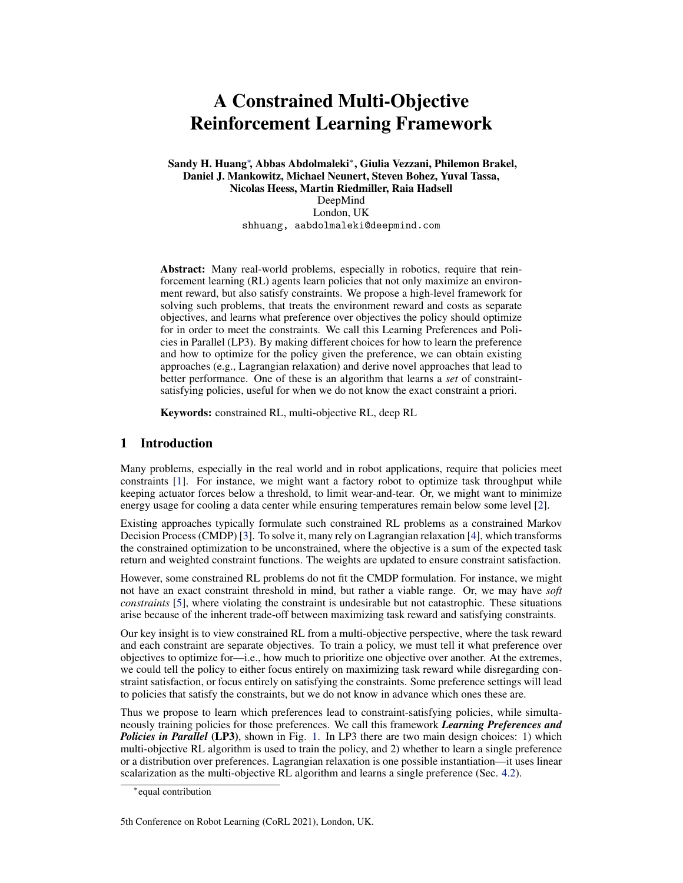# A Constrained Multi-Objective Reinforcement Learning Framework

Sandy H. Huang<sup>∗</sup> , Abbas Abdolmaleki<sup>∗</sup> , Giulia Vezzani, Philemon Brakel, Daniel J. Mankowitz, Michael Neunert, Steven Bohez, Yuval Tassa, Nicolas Heess, Martin Riedmiller, Raia Hadsell

DeepMind London, UK shhuang, aabdolmaleki@deepmind.com

Abstract: Many real-world problems, especially in robotics, require that reinforcement learning (RL) agents learn policies that not only maximize an environment reward, but also satisfy constraints. We propose a high-level framework for solving such problems, that treats the environment reward and costs as separate objectives, and learns what preference over objectives the policy should optimize for in order to meet the constraints. We call this Learning Preferences and Policies in Parallel (LP3). By making different choices for how to learn the preference and how to optimize for the policy given the preference, we can obtain existing approaches (e.g., Lagrangian relaxation) and derive novel approaches that lead to better performance. One of these is an algorithm that learns a *set* of constraintsatisfying policies, useful for when we do not know the exact constraint a priori.

Keywords: constrained RL, multi-objective RL, deep RL

# 1 Introduction

Many problems, especially in the real world and in robot applications, require that policies meet constraints [\[1\]](#page-8-0). For instance, we might want a factory robot to optimize task throughput while keeping actuator forces below a threshold, to limit wear-and-tear. Or, we might want to minimize energy usage for cooling a data center while ensuring temperatures remain below some level [\[2\]](#page-8-0).

Existing approaches typically formulate such constrained RL problems as a constrained Markov Decision Process (CMDP) [\[3\]](#page-8-0). To solve it, many rely on Lagrangian relaxation [\[4\]](#page-8-0), which transforms the constrained optimization to be unconstrained, where the objective is a sum of the expected task return and weighted constraint functions. The weights are updated to ensure constraint satisfaction.

However, some constrained RL problems do not fit the CMDP formulation. For instance, we might not have an exact constraint threshold in mind, but rather a viable range. Or, we may have *soft constraints* [\[5\]](#page-8-0), where violating the constraint is undesirable but not catastrophic. These situations arise because of the inherent trade-off between maximizing task reward and satisfying constraints.

Our key insight is to view constrained RL from a multi-objective perspective, where the task reward and each constraint are separate objectives. To train a policy, we must tell it what preference over objectives to optimize for—i.e., how much to prioritize one objective over another. At the extremes, we could tell the policy to either focus entirely on maximizing task reward while disregarding constraint satisfaction, or focus entirely on satisfying the constraints. Some preference settings will lead to policies that satisfy the constraints, but we do not know in advance which ones these are.

Thus we propose to learn which preferences lead to constraint-satisfying policies, while simultaneously training policies for those preferences. We call this framework *Learning Preferences and Policies in Parallel* (LP3), shown in Fig. [1.](#page-1-0) In LP3 there are two main design choices: 1) which multi-objective RL algorithm is used to train the policy, and 2) whether to learn a single preference or a distribution over preferences. Lagrangian relaxation is one possible instantiation—it uses linear scalarization as the multi-objective RL algorithm and learns a single preference (Sec. [4.2\)](#page-3-0).

<sup>∗</sup> equal contribution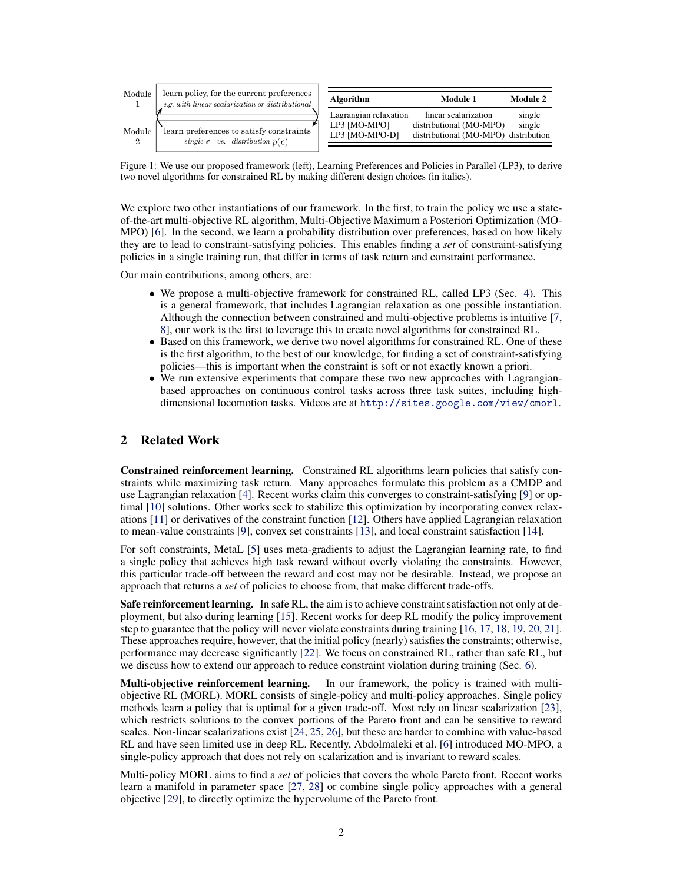<span id="page-1-0"></span>

| Module | learn policy, for the current preferences<br>e.g. with linear scalarization or distributional | <b>Algorithm</b>                                        | Module 1<br>Module 2                                                                    |                  |
|--------|-----------------------------------------------------------------------------------------------|---------------------------------------------------------|-----------------------------------------------------------------------------------------|------------------|
| Module | learn preferences to satisfy constraints<br>single $\epsilon$ vs. distribution $p(\epsilon)$  | Lagrangian relaxation<br>LP3 [MO-MPO]<br>LP3 [MO-MPO-D] | linear scalarization<br>distributional (MO-MPO)<br>distributional (MO-MPO) distribution | single<br>single |

Figure 1: We use our proposed framework (left), Learning Preferences and Policies in Parallel (LP3), to derive two novel algorithms for constrained RL by making different design choices (in italics).

We explore two other instantiations of our framework. In the first, to train the policy we use a stateof-the-art multi-objective RL algorithm, Multi-Objective Maximum a Posteriori Optimization (MO-MPO) [\[6\]](#page-8-0). In the second, we learn a probability distribution over preferences, based on how likely they are to lead to constraint-satisfying policies. This enables finding a *set* of constraint-satisfying policies in a single training run, that differ in terms of task return and constraint performance.

Our main contributions, among others, are:

- We propose a multi-objective framework for constrained RL, called LP3 (Sec. [4\)](#page-3-0). This is a general framework, that includes Lagrangian relaxation as one possible instantiation. Although the connection between constrained and multi-objective problems is intuitive [\[7,](#page-8-0) [8\]](#page-8-0), our work is the first to leverage this to create novel algorithms for constrained RL.
- Based on this framework, we derive two novel algorithms for constrained RL. One of these is the first algorithm, to the best of our knowledge, for finding a set of constraint-satisfying policies—this is important when the constraint is soft or not exactly known a priori.
- We run extensive experiments that compare these two new approaches with Lagrangianbased approaches on continuous control tasks across three task suites, including highdimensional locomotion tasks. Videos are at <http://sites.google.com/view/cmorl>.

# 2 Related Work

Constrained reinforcement learning. Constrained RL algorithms learn policies that satisfy constraints while maximizing task return. Many approaches formulate this problem as a CMDP and use Lagrangian relaxation [\[4\]](#page-8-0). Recent works claim this converges to constraint-satisfying [\[9\]](#page-8-0) or optimal [\[10\]](#page-8-0) solutions. Other works seek to stabilize this optimization by incorporating convex relaxations [\[11\]](#page-8-0) or derivatives of the constraint function [\[12\]](#page-8-0). Others have applied Lagrangian relaxation to mean-value constraints [\[9\]](#page-8-0), convex set constraints [\[13\]](#page-8-0), and local constraint satisfaction [\[14\]](#page-8-0).

For soft constraints, MetaL [\[5\]](#page-8-0) uses meta-gradients to adjust the Lagrangian learning rate, to find a single policy that achieves high task reward without overly violating the constraints. However, this particular trade-off between the reward and cost may not be desirable. Instead, we propose an approach that returns a *set* of policies to choose from, that make different trade-offs.

Safe reinforcement learning. In safe RL, the aim is to achieve constraint satisfaction not only at deployment, but also during learning [\[15\]](#page-8-0). Recent works for deep RL modify the policy improvement step to guarantee that the policy will never violate constraints during training [\[16,](#page-8-0) [17,](#page-8-0) [18,](#page-9-0) [19,](#page-9-0) [20,](#page-9-0) [21\]](#page-9-0). These approaches require, however, that the initial policy (nearly) satisfies the constraints; otherwise, performance may decrease significantly [\[22\]](#page-9-0). We focus on constrained RL, rather than safe RL, but we discuss how to extend our approach to reduce constraint violation during training (Sec. [6\)](#page-7-0).

Multi-objective reinforcement learning. In our framework, the policy is trained with multiobjective RL (MORL). MORL consists of single-policy and multi-policy approaches. Single policy methods learn a policy that is optimal for a given trade-off. Most rely on linear scalarization [\[23\]](#page-9-0), which restricts solutions to the convex portions of the Pareto front and can be sensitive to reward scales. Non-linear scalarizations exist [\[24,](#page-9-0) [25,](#page-9-0) [26\]](#page-9-0), but these are harder to combine with value-based RL and have seen limited use in deep RL. Recently, Abdolmaleki et al. [\[6\]](#page-8-0) introduced MO-MPO, a single-policy approach that does not rely on scalarization and is invariant to reward scales.

Multi-policy MORL aims to find a *set* of policies that covers the whole Pareto front. Recent works learn a manifold in parameter space [\[27,](#page-9-0) [28\]](#page-9-0) or combine single policy approaches with a general objective [\[29\]](#page-9-0), to directly optimize the hypervolume of the Pareto front.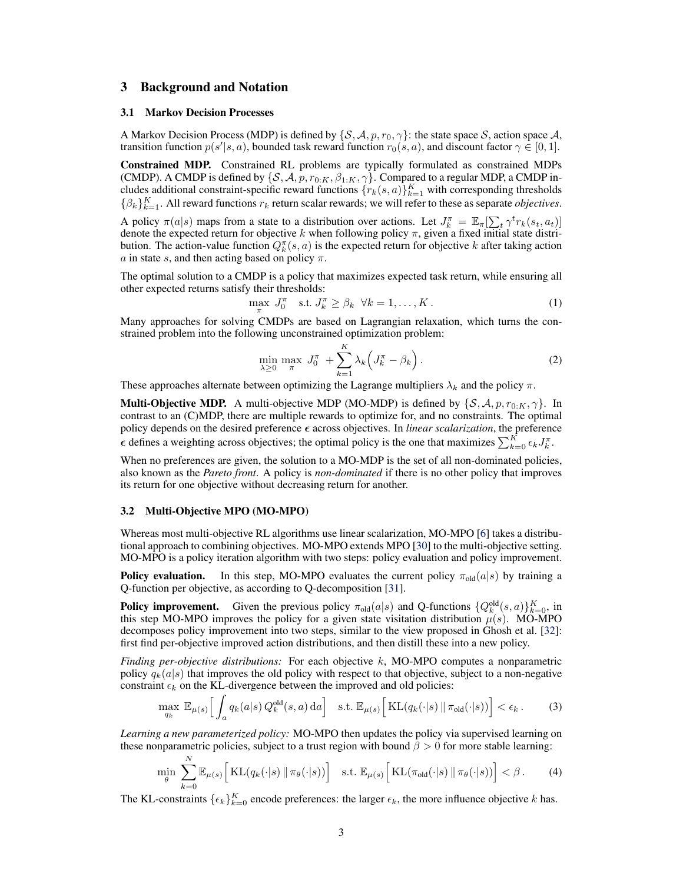## <span id="page-2-0"></span>3 Background and Notation

#### 3.1 Markov Decision Processes

A Markov Decision Process (MDP) is defined by  $\{S, A, p, r_0, \gamma\}$ : the state space S, action space A, transition function  $p(s'|s, a)$ , bounded task reward function  $r_0(s, a)$ , and discount factor  $\gamma \in [0, 1]$ .

Constrained MDP. Constrained RL problems are typically formulated as constrained MDPs (CMDP). A CMDP is defined by  $\{S, A, p, r_{0:K}, \beta_{1:K}, \gamma\}$ . Compared to a regular MDP, a CMDP includes additional constraint-specific reward functions  $\{r_k(s, a)\}_{k=1}^K$  with corresponding thresholds  $\{\beta_k\}_{k=1}^K$ . All reward functions  $r_k$  return scalar rewards; we will refer to these as separate *objectives*.

A policy  $\pi(a|s)$  maps from a state to a distribution over actions. Let  $J_k^{\pi} = \mathbb{E}_{\pi}[\sum_t \gamma^t r_k(s_t, a_t)]$ denote the expected return for objective k when following policy  $\pi$ , given a fixed initial state distribution. The action-value function  $Q_k^{\pi}(s, a)$  is the expected return for objective k after taking action a in state s, and then acting based on policy  $\pi$ .

The optimal solution to a CMDP is a policy that maximizes expected task return, while ensuring all other expected returns satisfy their thresholds:

$$
\max_{\pi} J_0^{\pi} \quad \text{s.t. } J_k^{\pi} \ge \beta_k \quad \forall k = 1, \dots, K. \tag{1}
$$

Many approaches for solving CMDPs are based on Lagrangian relaxation, which turns the constrained problem into the following unconstrained optimization problem:

$$
\min_{\lambda \ge 0} \max_{\pi} J_0^{\pi} + \sum_{k=1}^{K} \lambda_k \left( J_k^{\pi} - \beta_k \right). \tag{2}
$$

These approaches alternate between optimizing the Lagrange multipliers  $\lambda_k$  and the policy  $\pi$ .

**Multi-Objective MDP.** A multi-objective MDP (MO-MDP) is defined by  $\{S, A, p, r_{0:K}, \gamma\}$ . In contrast to an (C)MDP, there are multiple rewards to optimize for, and no constraints. The optimal policy depends on the desired preference  $\epsilon$  across objectives. In *linear scalarization*, the preference  $\epsilon$  defines a weighting across objectives; the optimal policy is the one that maximizes  $\sum_{k=0}^{K} \epsilon_k J_k^{\pi}$ .

When no preferences are given, the solution to a MO-MDP is the set of all non-dominated policies, also known as the *Pareto front*. A policy is *non-dominated* if there is no other policy that improves its return for one objective without decreasing return for another.

#### 3.2 Multi-Objective MPO (MO-MPO)

Whereas most multi-objective RL algorithms use linear scalarization, MO-MPO [\[6\]](#page-8-0) takes a distributional approach to combining objectives. MO-MPO extends MPO [\[30\]](#page-9-0) to the multi-objective setting. MO-MPO is a policy iteration algorithm with two steps: policy evaluation and policy improvement.

**Policy evaluation.** In this step, MO-MPO evaluates the current policy  $\pi_{old}(a|s)$  by training a Q-function per objective, as according to Q-decomposition [\[31\]](#page-9-0).

**Policy improvement.** Given the previous policy  $\pi_{old}(a|s)$  and Q-functions  $\{Q_k^{old}(s, a)\}_{k=0}^K$ , in this step MO-MPO improves the policy for a given state visitation distribution  $\mu(s)$ . MO-MPO decomposes policy improvement into two steps, similar to the view proposed in Ghosh et al. [\[32\]](#page-9-0): first find per-objective improved action distributions, and then distill these into a new policy.

*Finding per-objective distributions:* For each objective k, MO-MPO computes a nonparametric policy  $q_k(a|s)$  that improves the old policy with respect to that objective, subject to a non-negative constraint  $\epsilon_k$  on the KL-divergence between the improved and old policies:

$$
\max_{q_k} \mathbb{E}_{\mu(s)} \Big[ \int_a q_k(a|s) \, Q_k^{\text{old}}(s, a) \, \text{d}a \Big] \quad \text{s.t. } \mathbb{E}_{\mu(s)} \Big[ \operatorname{KL}(q_k(\cdot|s) \, \| \, \pi_{\text{old}}(\cdot|s)) \Big] < \epsilon_k \,. \tag{3}
$$

*Learning a new parameterized policy:* MO-MPO then updates the policy via supervised learning on these nonparametric policies, subject to a trust region with bound  $\beta > 0$  for more stable learning:

$$
\min_{\theta} \sum_{k=0}^{N} \mathbb{E}_{\mu(s)} \Big[ \mathrm{KL}(q_k(\cdot|s) \, \| \, \pi_{\theta}(\cdot|s)) \Big] \quad \text{s.t. } \mathbb{E}_{\mu(s)} \Big[ \mathrm{KL}(\pi_{\text{old}}(\cdot|s) \, \| \, \pi_{\theta}(\cdot|s)) \Big] < \beta \,. \tag{4}
$$

The KL-constraints  $\{\epsilon_k\}_{k=0}^K$  encode preferences: the larger  $\epsilon_k$ , the more influence objective k has.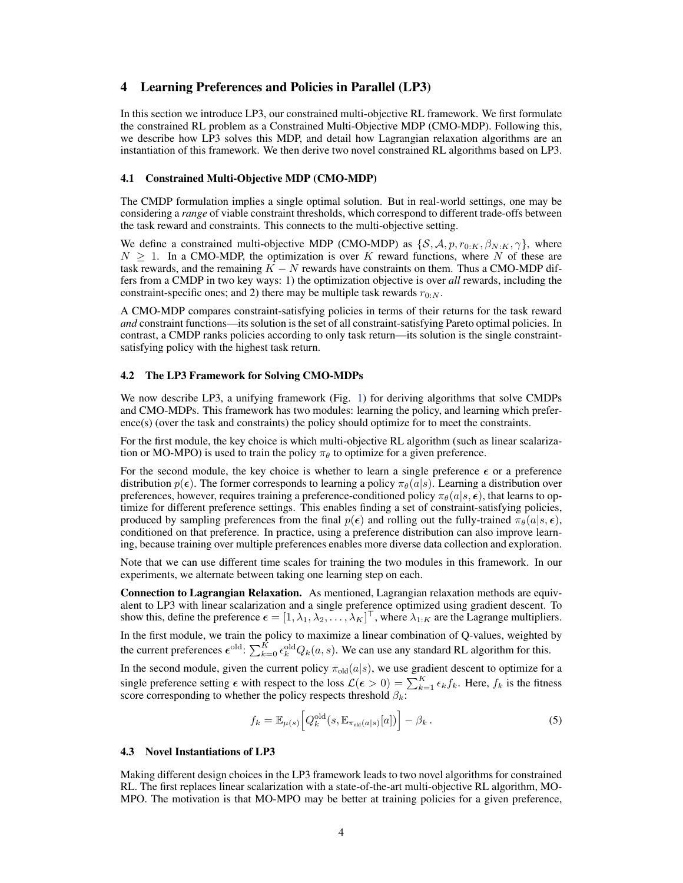## <span id="page-3-0"></span>4 Learning Preferences and Policies in Parallel (LP3)

In this section we introduce LP3, our constrained multi-objective RL framework. We first formulate the constrained RL problem as a Constrained Multi-Objective MDP (CMO-MDP). Following this, we describe how LP3 solves this MDP, and detail how Lagrangian relaxation algorithms are an instantiation of this framework. We then derive two novel constrained RL algorithms based on LP3.

#### 4.1 Constrained Multi-Objective MDP (CMO-MDP)

The CMDP formulation implies a single optimal solution. But in real-world settings, one may be considering a *range* of viable constraint thresholds, which correspond to different trade-offs between the task reward and constraints. This connects to the multi-objective setting.

We define a constrained multi-objective MDP (CMO-MDP) as  $\{S, A, p, r_{0:K}, \beta_{N:K}, \gamma\}$ , where  $N \geq 1$ . In a CMO-MDP, the optimization is over K reward functions, where N of these are task rewards, and the remaining  $K - N$  rewards have constraints on them. Thus a CMO-MDP differs from a CMDP in two key ways: 1) the optimization objective is over *all* rewards, including the constraint-specific ones; and 2) there may be multiple task rewards  $r_{0:N}$ .

A CMO-MDP compares constraint-satisfying policies in terms of their returns for the task reward *and* constraint functions—its solution is the set of all constraint-satisfying Pareto optimal policies. In contrast, a CMDP ranks policies according to only task return—its solution is the single constraintsatisfying policy with the highest task return.

#### 4.2 The LP3 Framework for Solving CMO-MDPs

We now describe LP3, a unifying framework (Fig. [1\)](#page-1-0) for deriving algorithms that solve CMDPs and CMO-MDPs. This framework has two modules: learning the policy, and learning which preference(s) (over the task and constraints) the policy should optimize for to meet the constraints.

For the first module, the key choice is which multi-objective RL algorithm (such as linear scalarization or MO-MPO) is used to train the policy  $\pi_{\theta}$  to optimize for a given preference.

For the second module, the key choice is whether to learn a single preference  $\epsilon$  or a preference distribution  $p(\epsilon)$ . The former corresponds to learning a policy  $\pi_{\theta}(a|s)$ . Learning a distribution over preferences, however, requires training a preference-conditioned policy  $\pi_{\theta}(a|s, \epsilon)$ , that learns to optimize for different preference settings. This enables finding a set of constraint-satisfying policies, produced by sampling preferences from the final  $p(\epsilon)$  and rolling out the fully-trained  $\pi_{\theta}(a|s, \epsilon)$ , conditioned on that preference. In practice, using a preference distribution can also improve learning, because training over multiple preferences enables more diverse data collection and exploration.

Note that we can use different time scales for training the two modules in this framework. In our experiments, we alternate between taking one learning step on each.

Connection to Lagrangian Relaxation. As mentioned, Lagrangian relaxation methods are equivalent to LP3 with linear scalarization and a single preference optimized using gradient descent. To show this, define the preference  $\boldsymbol{\epsilon} = [1, \lambda_1, \lambda_2, \dots, \lambda_K]^\top$ , where  $\lambda_{1:K}$  are the Lagrange multipliers. In the first module, we train the policy to maximize a linear combination of Q-values, weighted by the current preferences  $\epsilon^{old}$ :  $\sum_{k=0}^{K} \epsilon_k^{old} Q_k(a, s)$ . We can use any standard RL algorithm for this.

In the second module, given the current policy  $\pi_{old}(a|s)$ , we use gradient descent to optimize for a single preference setting  $\epsilon$  with respect to the loss  $\mathcal{L}(\epsilon > 0) = \sum_{k=1}^{K} \epsilon_k f_k$ . Here,  $f_k$  is the fitness score corresponding to whether the policy respects threshold  $\beta_k$ :

$$
f_k = \mathbb{E}_{\mu(s)} \Big[ Q_k^{\text{old}}(s, \mathbb{E}_{\pi_{\text{old}}(a|s)}[a]) \Big] - \beta_k \,. \tag{5}
$$

#### 4.3 Novel Instantiations of LP3

Making different design choices in the LP3 framework leads to two novel algorithms for constrained RL. The first replaces linear scalarization with a state-of-the-art multi-objective RL algorithm, MO-MPO. The motivation is that MO-MPO may be better at training policies for a given preference,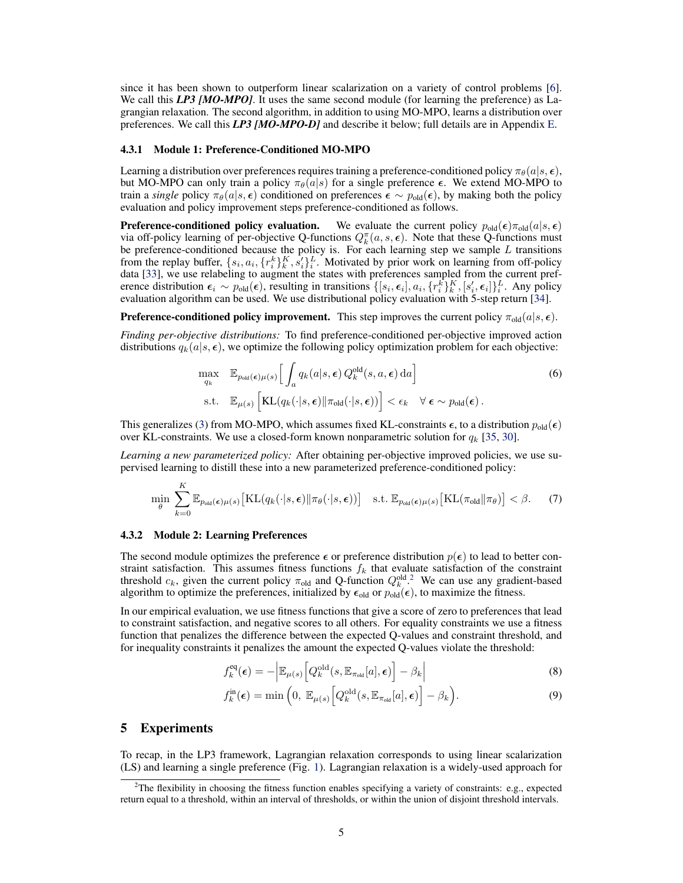<span id="page-4-0"></span>since it has been shown to outperform linear scalarization on a variety of control problems [\[6\]](#page-8-0). We call this **LP3 [MO-MPO]**. It uses the same second module (for learning the preference) as Lagrangian relaxation. The second algorithm, in addition to using MO-MPO, learns a distribution over preferences. We call this *LP3 [MO-MPO-D]* and describe it below; full details are in Appendix [E.](#page--1-0)

#### 4.3.1 Module 1: Preference-Conditioned MO-MPO

Learning a distribution over preferences requires training a preference-conditioned policy  $\pi_\theta(a|s, \epsilon)$ , but MO-MPO can only train a policy  $\pi_{\theta}(a|s)$  for a single preference  $\epsilon$ . We extend MO-MPO to train a *single* policy  $\pi_{\theta}(a|s, \epsilon)$  conditioned on preferences  $\epsilon \sim p_{old}(\epsilon)$ , by making both the policy evaluation and policy improvement steps preference-conditioned as follows.

**Preference-conditioned policy evaluation.** We evaluate the current policy  $p_{old}(\epsilon)\pi_{old}(a|s, \epsilon)$ via off-policy learning of per-objective Q-functions  $Q_k^{\pi}(a, s, \epsilon)$ . Note that these Q-functions must be preference-conditioned because the policy is. For each learning step we sample  $L$  transitions from the replay buffer,  $\{s_i, a_i, \{r_i^k\}_{k}^K, s_i'\}_{i}^L$ . Motivated by prior work on learning from off-policy data [\[33\]](#page-9-0), we use relabeling to augment the states with preferences sampled from the current preference distribution  $\epsilon_i \sim p_{old}(\epsilon)$ , resulting in transitions  $\{[s_i, \epsilon_i], a_i, \{r_i^k\}_k^K, [s_i', \epsilon_i]\}_i^L$ . Any policy evaluation algorithm can be used. We use distributional policy evaluation with 5-step return [\[34\]](#page-9-0).

**Preference-conditioned policy improvement.** This step improves the current policy  $\pi_{old}(a|s, \epsilon)$ .

*Finding per-objective distributions:* To find preference-conditioned per-objective improved action distributions  $q_k(a|s, \epsilon)$ , we optimize the following policy optimization problem for each objective:

$$
\max_{q_k} \mathbb{E}_{p_{old}(\epsilon)\mu(s)} \Big[ \int_a q_k(a|s,\epsilon) Q_k^{old}(s,a,\epsilon) da \Big] \ns.t. \mathbb{E}_{\mu(s)} \Big[ KL(q_k(\cdot|s,\epsilon) || \pi_{old}(\cdot|s,\epsilon)) \Big] < \epsilon_k \quad \forall \epsilon \sim p_{old}(\epsilon).
$$
\n(6)

This generalizes [\(3\)](#page-2-0) from MO-MPO, which assumes fixed KL-constraints  $\epsilon$ , to a distribution  $p_{old}(\epsilon)$ over KL-constraints. We use a closed-form known nonparametric solution for  $q_k$  [\[35,](#page-10-0) [30\]](#page-9-0).

*Learning a new parameterized policy:* After obtaining per-objective improved policies, we use supervised learning to distill these into a new parameterized preference-conditioned policy:

$$
\min_{\theta} \sum_{k=0}^{K} \mathbb{E}_{p_{\text{old}}(\epsilon)\mu(s)} \left[ \text{KL}(q_k(\cdot|s,\epsilon) \| \pi_{\theta}(\cdot|s,\epsilon)) \right] \quad \text{s.t. } \mathbb{E}_{p_{\text{old}}(\epsilon)\mu(s)} \left[ \text{KL}(\pi_{\text{old}} \| \pi_{\theta}) \right] < \beta. \tag{7}
$$

#### 4.3.2 Module 2: Learning Preferences

The second module optimizes the preference  $\epsilon$  or preference distribution  $p(\epsilon)$  to lead to better constraint satisfaction. This assumes fitness functions  $f_k$  that evaluate satisfaction of the constraint threshold  $c_k$ , given the current policy  $\pi_{old}$  and Q-function  $Q_k^{old, 2}$ . We can use any gradient-based algorithm to optimize the preferences, initialized by  $\epsilon_{old}$  or  $p_{old}(\epsilon)$ , to maximize the fitness.

In our empirical evaluation, we use fitness functions that give a score of zero to preferences that lead to constraint satisfaction, and negative scores to all others. For equality constraints we use a fitness function that penalizes the difference between the expected Q-values and constraint threshold, and for inequality constraints it penalizes the amount the expected Q-values violate the threshold:

$$
f_k^{\text{eq}}(\epsilon) = -\left| \mathbb{E}_{\mu(s)} \left[ Q_k^{\text{old}}(s, \mathbb{E}_{\pi_{\text{old}}}[a], \epsilon) \right] - \beta_k \right| \tag{8}
$$

$$
f_k^{\text{in}}(\epsilon) = \min\left(0, \ \mathbb{E}_{\mu(s)}\left[Q_k^{\text{old}}(s, \mathbb{E}_{\pi_{\text{old}}}[a], \epsilon)\right] - \beta_k\right). \tag{9}
$$

## 5 Experiments

To recap, in the LP3 framework, Lagrangian relaxation corresponds to using linear scalarization (LS) and learning a single preference (Fig. [1\)](#page-1-0). Lagrangian relaxation is a widely-used approach for

<sup>&</sup>lt;sup>2</sup>The flexibility in choosing the fitness function enables specifying a variety of constraints: e.g., expected return equal to a threshold, within an interval of thresholds, or within the union of disjoint threshold intervals.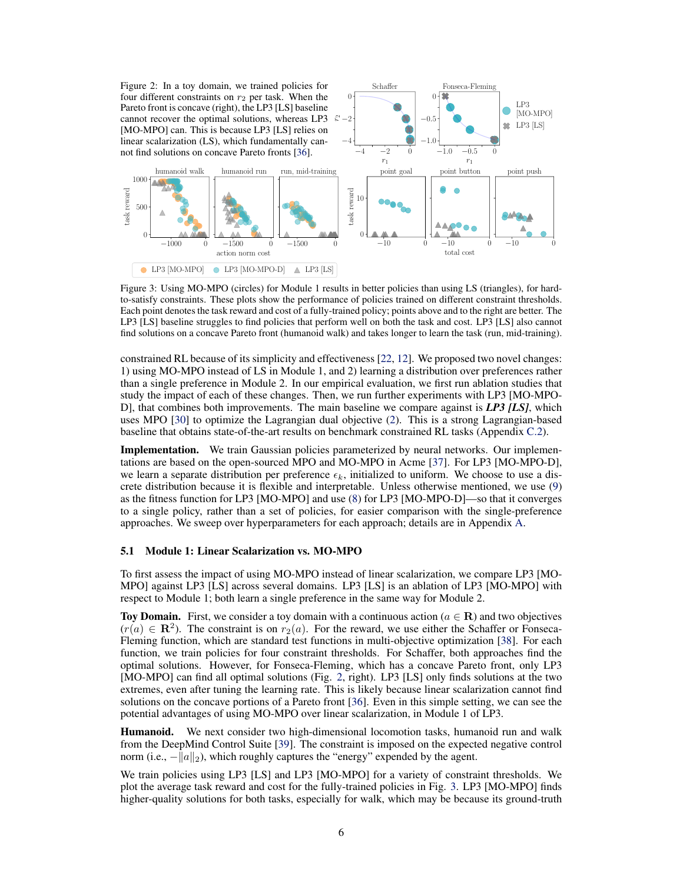<span id="page-5-0"></span>Figure 2: In a toy domain, we trained policies for four different constraints on  $r_2$  per task. When the Pareto front is concave (right), the LP3 [LS] baseline cannot recover the optimal solutions, whereas LP3  $\approx$ [MO-MPO] can. This is because LP3 [LS] relies on linear scalarization (LS), which fundamentally can-not find solutions on concave Pareto fronts [\[36\]](#page-10-0).  $-4$  −2 0

 $-1500$  0

action norm cost

humanoid run

 $-1000$  0

humanoid walk

0 L

500

task reward

1000



Figure 3: Using MO-MPO (circles) for Module 1 results in better policies than using LS (triangles), for hardto-satisfy constraints. These plots show the performance of policies trained on different constraint thresholds. Each point denotes the task reward and cost of a fully-trained policy; points above and to the right are better. The LP3 [LS] baseline struggles to find policies that perform well on both the task and cost. LP3 [LS] also cannot find solutions on a concave Pareto front (humanoid walk) and takes longer to learn the task (run, mid-training).

constrained RL because of its simplicity and effectiveness [\[22,](#page-9-0) [12\]](#page-8-0). We proposed two novel changes: 1) using MO-MPO instead of LS in Module 1, and 2) learning a distribution over preferences rather than a single preference in Module 2. In our empirical evaluation, we first run ablation studies that study the impact of each of these changes. Then, we run further experiments with LP3 [MO-MPO-D], that combines both improvements. The main baseline we compare against is *LP3 [LS]*, which uses MPO [\[30\]](#page-9-0) to optimize the Lagrangian dual objective [\(2\)](#page-2-0). This is a strong Lagrangian-based baseline that obtains state-of-the-art results on benchmark constrained RL tasks (Appendix [C.2\)](#page--1-0).

Implementation. We train Gaussian policies parameterized by neural networks. Our implementations are based on the open-sourced MPO and MO-MPO in Acme [\[37\]](#page-10-0). For LP3 [MO-MPO-D], we learn a separate distribution per preference  $\epsilon_k$ , initialized to uniform. We choose to use a discrete distribution because it is flexible and interpretable. Unless otherwise mentioned, we use [\(9\)](#page-4-0) as the fitness function for LP3 [MO-MPO] and use [\(8\)](#page-4-0) for LP3 [MO-MPO-D]—so that it converges to a single policy, rather than a set of policies, for easier comparison with the single-preference approaches. We sweep over hyperparameters for each approach; details are in Appendix [A.](#page--1-0)

## 5.1 Module 1: Linear Scalarization vs. MO-MPO

To first assess the impact of using MO-MPO instead of linear scalarization, we compare LP3 [MO-MPO] against LP3 [LS] across several domains. LP3 [LS] is an ablation of LP3 [MO-MPO] with respect to Module 1; both learn a single preference in the same way for Module 2.

Toy Domain. First, we consider a toy domain with a continuous action ( $a \in \mathbb{R}$ ) and two objectives  $(r(a) \in \mathbb{R}^2)$ . The constraint is on  $r_2(a)$ . For the reward, we use either the Schaffer or Fonseca-Fleming function, which are standard test functions in multi-objective optimization [\[38\]](#page-10-0). For each function, we train policies for four constraint thresholds. For Schaffer, both approaches find the optimal solutions. However, for Fonseca-Fleming, which has a concave Pareto front, only LP3 [MO-MPO] can find all optimal solutions (Fig. 2, right). LP3 [LS] only finds solutions at the two extremes, even after tuning the learning rate. This is likely because linear scalarization cannot find solutions on the concave portions of a Pareto front [\[36\]](#page-10-0). Even in this simple setting, we can see the potential advantages of using MO-MPO over linear scalarization, in Module 1 of LP3.

Humanoid. We next consider two high-dimensional locomotion tasks, humanoid run and walk from the DeepMind Control Suite [\[39\]](#page-10-0). The constraint is imposed on the expected negative control norm (i.e.,  $-\|a\|_2$ ), which roughly captures the "energy" expended by the agent.

We train policies using LP3 [LS] and LP3 [MO-MPO] for a variety of constraint thresholds. We plot the average task reward and cost for the fully-trained policies in Fig. 3. LP3 [MO-MPO] finds higher-quality solutions for both tasks, especially for walk, which may be because its ground-truth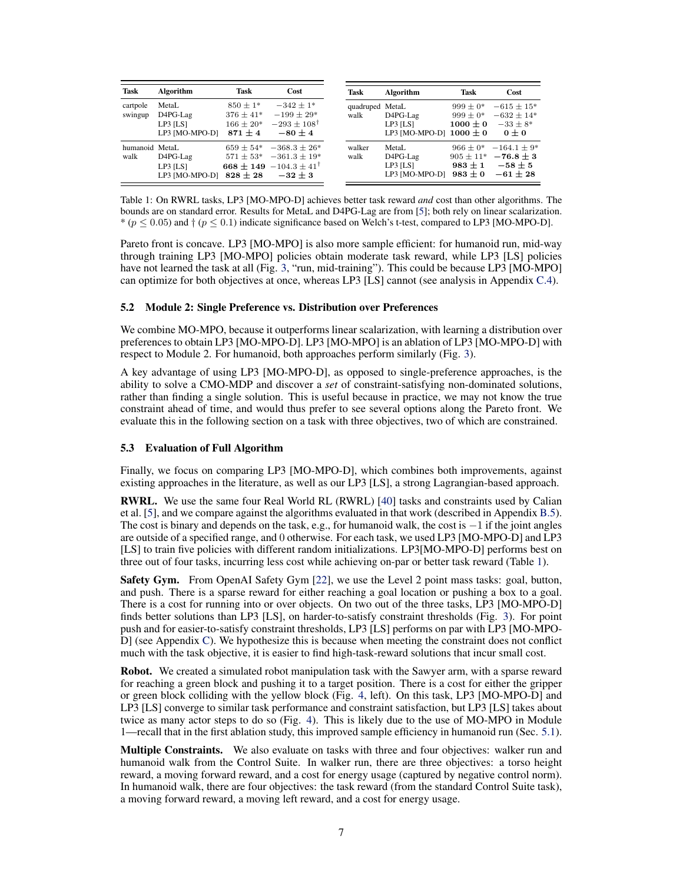| Task                   | Algorithm                                       | Task                                                        | Cost                                                                                        | <b>Task</b>             | Algorithm                                           | Task                                                      |                 |
|------------------------|-------------------------------------------------|-------------------------------------------------------------|---------------------------------------------------------------------------------------------|-------------------------|-----------------------------------------------------|-----------------------------------------------------------|-----------------|
| cartpole<br>swingup    | MetaL<br>D4PG-Lag<br>LP3 [LS]<br>LP3 [MO-MPO-D] | $850 \pm 1*$<br>$376 \pm 41*$<br>$166 \pm 20*$<br>$871 + 4$ | $-342 + 1*$<br>$-199 \pm 29*$<br>$-293 \pm 108^{\dagger}$<br>$-80 \pm 4$                    | quadruped MetaL<br>walk | D4PG-Lag<br>LP3 [LS]<br>LP3 [MO-MPO-D] $1000 \pm 0$ | $999 \pm 0*$<br>$999 \pm 0*$<br>$1000 \pm 0$              |                 |
| humanoid MetaL<br>walk | D4PG-Lag<br>$LP3$ $[LS]$<br>LP3 [MO-MPO-D]      | $659 \pm 54*$<br>$571 \pm 53*$<br>$828 \pm 28$              | $-368.3 \pm 26*$<br>$-361.3 \pm 19*$<br>668 ± 149 $-104.3 \pm 41$ <sup>T</sup><br>$-32 + 3$ | walker<br>walk          | MetaL<br>D4PG-Lag<br>$LP3$ $[LS]$<br>LP3 [MO-MPO-D] | $966 \pm 0*$<br>$905 \pm 11*$<br>$983 + 1$<br>$983 \pm 0$ | $-164.1 \pm 9*$ |

Table 1: On RWRL tasks, LP3 [MO-MPO-D] achieves better task reward *and* cost than other algorithms. The bounds are on standard error. Results for MetaL and D4PG-Lag are from [\[5\]](#page-8-0); both rely on linear scalarization. \* ( $p \le 0.05$ ) and  $\dagger$  ( $p \le 0.1$ ) indicate significance based on Welch's t-test, compared to LP3 [MO-MPO-D].

Pareto front is concave. LP3 [MO-MPO] is also more sample efficient: for humanoid run, mid-way through training LP3 [MO-MPO] policies obtain moderate task reward, while LP3 [LS] policies have not learned the task at all (Fig. [3,](#page-5-0) "run, mid-training"). This could be because LP3 [MO-MPO] can optimize for both objectives at once, whereas LP3 [LS] cannot (see analysis in Appendix [C.4\)](#page--1-0).

#### 5.2 Module 2: Single Preference vs. Distribution over Preferences

We combine MO-MPO, because it outperforms linear scalarization, with learning a distribution over preferences to obtain LP3 [MO-MPO-D]. LP3 [MO-MPO] is an ablation of LP3 [MO-MPO-D] with respect to Module 2. For humanoid, both approaches perform similarly (Fig. [3\)](#page-5-0).

A key advantage of using LP3 [MO-MPO-D], as opposed to single-preference approaches, is the ability to solve a CMO-MDP and discover a *set* of constraint-satisfying non-dominated solutions, rather than finding a single solution. This is useful because in practice, we may not know the true constraint ahead of time, and would thus prefer to see several options along the Pareto front. We evaluate this in the following section on a task with three objectives, two of which are constrained.

#### 5.3 Evaluation of Full Algorithm

Finally, we focus on comparing LP3 [MO-MPO-D], which combines both improvements, against existing approaches in the literature, as well as our LP3 [LS], a strong Lagrangian-based approach.

RWRL. We use the same four Real World RL (RWRL) [\[40\]](#page-10-0) tasks and constraints used by Calian et al. [\[5\]](#page-8-0), and we compare against the algorithms evaluated in that work (described in Appendix [B.5\)](#page--1-0). The cost is binary and depends on the task, e.g., for humanoid walk, the cost is  $-1$  if the joint angles are outside of a specified range, and 0 otherwise. For each task, we used LP3 [MO-MPO-D] and LP3 [LS] to train five policies with different random initializations. LP3[MO-MPO-D] performs best on three out of four tasks, incurring less cost while achieving on-par or better task reward (Table 1).

Safety Gym. From OpenAI Safety Gym [\[22\]](#page-9-0), we use the Level 2 point mass tasks: goal, button, and push. There is a sparse reward for either reaching a goal location or pushing a box to a goal. There is a cost for running into or over objects. On two out of the three tasks, LP3 [MO-MPO-D] finds better solutions than LP3 [LS], on harder-to-satisfy constraint thresholds (Fig. [3\)](#page-5-0). For point push and for easier-to-satisfy constraint thresholds, LP3 [LS] performs on par with LP3 [MO-MPO-D] (see Appendix [C\)](#page--1-0). We hypothesize this is because when meeting the constraint does not conflict much with the task objective, it is easier to find high-task-reward solutions that incur small cost.

Robot. We created a simulated robot manipulation task with the Sawyer arm, with a sparse reward for reaching a green block and pushing it to a target position. There is a cost for either the gripper or green block colliding with the yellow block (Fig. [4,](#page-7-0) left). On this task, LP3 [MO-MPO-D] and LP3 [LS] converge to similar task performance and constraint satisfaction, but LP3 [LS] takes about twice as many actor steps to do so (Fig. [4\)](#page-7-0). This is likely due to the use of MO-MPO in Module 1—recall that in the first ablation study, this improved sample efficiency in humanoid run (Sec. [5.1\)](#page-5-0).

Multiple Constraints. We also evaluate on tasks with three and four objectives: walker run and humanoid walk from the Control Suite. In walker run, there are three objectives: a torso height reward, a moving forward reward, and a cost for energy usage (captured by negative control norm). In humanoid walk, there are four objectives: the task reward (from the standard Control Suite task), a moving forward reward, a moving left reward, and a cost for energy usage.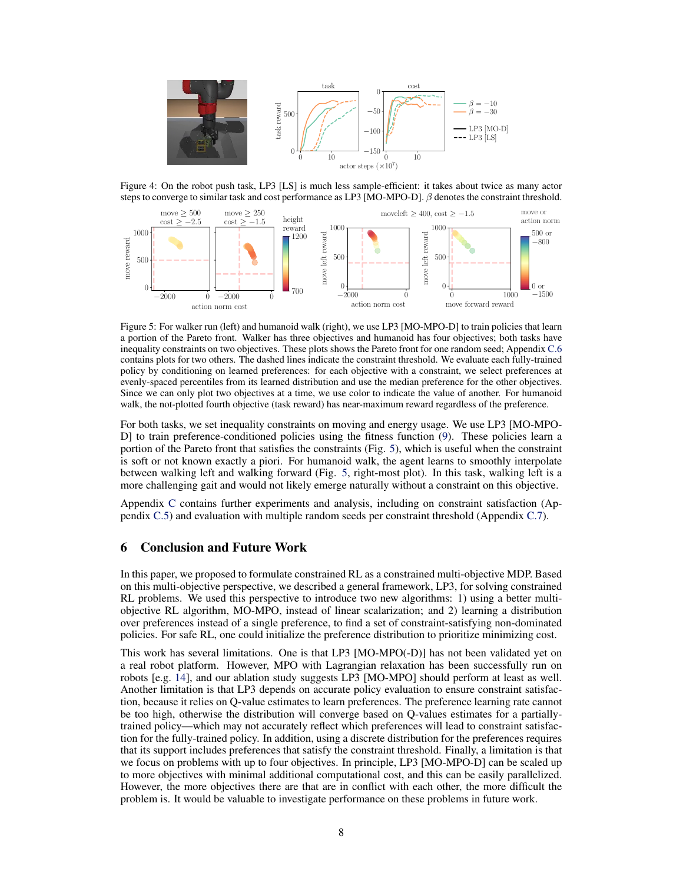<span id="page-7-0"></span>

Figure 4: On the robot push task, LP3 [LS] is much less sample-efficient: it takes about twice as many actor steps to converge to similar task and cost performance as LP3 [MO-MPO-D]. β denotes the constraint threshold.



Figure 5: For walker run (left) and humanoid walk (right), we use LP3 [MO-MPO-D] to train policies that learn a portion of the Pareto front. Walker has three objectives and humanoid has four objectives; both tasks have inequality constraints on two objectives. These plots shows the Pareto front for one random seed; Appendix [C.6](#page--1-0) contains plots for two others. The dashed lines indicate the constraint threshold. We evaluate each fully-trained policy by conditioning on learned preferences: for each objective with a constraint, we select preferences at evenly-spaced percentiles from its learned distribution and use the median preference for the other objectives. Since we can only plot two objectives at a time, we use color to indicate the value of another. For humanoid walk, the not-plotted fourth objective (task reward) has near-maximum reward regardless of the preference.

For both tasks, we set inequality constraints on moving and energy usage. We use LP3 [MO-MPO-D] to train preference-conditioned policies using the fitness function [\(9\)](#page-4-0). These policies learn a portion of the Pareto front that satisfies the constraints (Fig. 5), which is useful when the constraint is soft or not known exactly a piori. For humanoid walk, the agent learns to smoothly interpolate between walking left and walking forward (Fig. 5, right-most plot). In this task, walking left is a more challenging gait and would not likely emerge naturally without a constraint on this objective.

Appendix [C](#page--1-0) contains further experiments and analysis, including on constraint satisfaction (Appendix [C.5\)](#page--1-0) and evaluation with multiple random seeds per constraint threshold (Appendix [C.7\)](#page--1-0).

## 6 Conclusion and Future Work

In this paper, we proposed to formulate constrained RL as a constrained multi-objective MDP. Based on this multi-objective perspective, we described a general framework, LP3, for solving constrained RL problems. We used this perspective to introduce two new algorithms: 1) using a better multiobjective RL algorithm, MO-MPO, instead of linear scalarization; and 2) learning a distribution over preferences instead of a single preference, to find a set of constraint-satisfying non-dominated policies. For safe RL, one could initialize the preference distribution to prioritize minimizing cost.

This work has several limitations. One is that LP3 [MO-MPO(-D)] has not been validated yet on a real robot platform. However, MPO with Lagrangian relaxation has been successfully run on robots [e.g. [14\]](#page-8-0), and our ablation study suggests LP3 [MO-MPO] should perform at least as well. Another limitation is that LP3 depends on accurate policy evaluation to ensure constraint satisfaction, because it relies on Q-value estimates to learn preferences. The preference learning rate cannot be too high, otherwise the distribution will converge based on Q-values estimates for a partiallytrained policy—which may not accurately reflect which preferences will lead to constraint satisfaction for the fully-trained policy. In addition, using a discrete distribution for the preferences requires that its support includes preferences that satisfy the constraint threshold. Finally, a limitation is that we focus on problems with up to four objectives. In principle, LP3 [MO-MPO-D] can be scaled up to more objectives with minimal additional computational cost, and this can be easily parallelized. However, the more objectives there are that are in conflict with each other, the more difficult the problem is. It would be valuable to investigate performance on these problems in future work.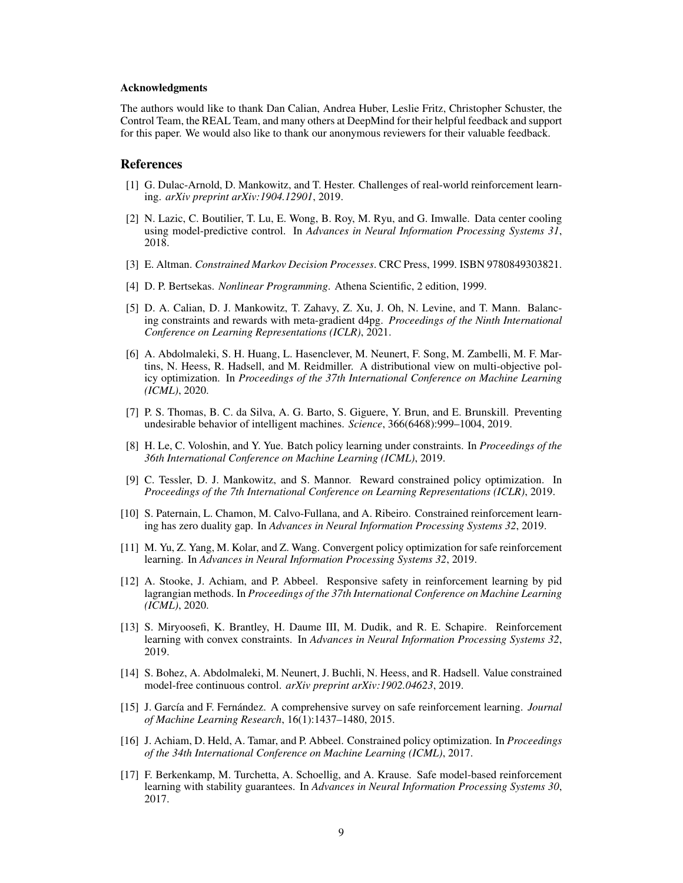#### <span id="page-8-0"></span>Acknowledgments

The authors would like to thank Dan Calian, Andrea Huber, Leslie Fritz, Christopher Schuster, the Control Team, the REAL Team, and many others at DeepMind for their helpful feedback and support for this paper. We would also like to thank our anonymous reviewers for their valuable feedback.

## References

- [1] G. Dulac-Arnold, D. Mankowitz, and T. Hester. Challenges of real-world reinforcement learning. *arXiv preprint arXiv:1904.12901*, 2019.
- [2] N. Lazic, C. Boutilier, T. Lu, E. Wong, B. Roy, M. Ryu, and G. Imwalle. Data center cooling using model-predictive control. In *Advances in Neural Information Processing Systems 31*, 2018.
- [3] E. Altman. *Constrained Markov Decision Processes*. CRC Press, 1999. ISBN 9780849303821.
- [4] D. P. Bertsekas. *Nonlinear Programming*. Athena Scientific, 2 edition, 1999.
- [5] D. A. Calian, D. J. Mankowitz, T. Zahavy, Z. Xu, J. Oh, N. Levine, and T. Mann. Balancing constraints and rewards with meta-gradient d4pg. *Proceedings of the Ninth International Conference on Learning Representations (ICLR)*, 2021.
- [6] A. Abdolmaleki, S. H. Huang, L. Hasenclever, M. Neunert, F. Song, M. Zambelli, M. F. Martins, N. Heess, R. Hadsell, and M. Reidmiller. A distributional view on multi-objective policy optimization. In *Proceedings of the 37th International Conference on Machine Learning (ICML)*, 2020.
- [7] P. S. Thomas, B. C. da Silva, A. G. Barto, S. Giguere, Y. Brun, and E. Brunskill. Preventing undesirable behavior of intelligent machines. *Science*, 366(6468):999–1004, 2019.
- [8] H. Le, C. Voloshin, and Y. Yue. Batch policy learning under constraints. In *Proceedings of the 36th International Conference on Machine Learning (ICML)*, 2019.
- [9] C. Tessler, D. J. Mankowitz, and S. Mannor. Reward constrained policy optimization. In *Proceedings of the 7th International Conference on Learning Representations (ICLR)*, 2019.
- [10] S. Paternain, L. Chamon, M. Calvo-Fullana, and A. Ribeiro. Constrained reinforcement learning has zero duality gap. In *Advances in Neural Information Processing Systems 32*, 2019.
- [11] M. Yu, Z. Yang, M. Kolar, and Z. Wang. Convergent policy optimization for safe reinforcement learning. In *Advances in Neural Information Processing Systems 32*, 2019.
- [12] A. Stooke, J. Achiam, and P. Abbeel. Responsive safety in reinforcement learning by pid lagrangian methods. In *Proceedings of the 37th International Conference on Machine Learning (ICML)*, 2020.
- [13] S. Miryoosefi, K. Brantley, H. Daume III, M. Dudik, and R. E. Schapire. Reinforcement learning with convex constraints. In *Advances in Neural Information Processing Systems 32*, 2019.
- [14] S. Bohez, A. Abdolmaleki, M. Neunert, J. Buchli, N. Heess, and R. Hadsell. Value constrained model-free continuous control. *arXiv preprint arXiv:1902.04623*, 2019.
- [15] J. García and F. Fernández. A comprehensive survey on safe reinforcement learning. *Journal of Machine Learning Research*, 16(1):1437–1480, 2015.
- [16] J. Achiam, D. Held, A. Tamar, and P. Abbeel. Constrained policy optimization. In *Proceedings of the 34th International Conference on Machine Learning (ICML)*, 2017.
- [17] F. Berkenkamp, M. Turchetta, A. Schoellig, and A. Krause. Safe model-based reinforcement learning with stability guarantees. In *Advances in Neural Information Processing Systems 30*, 2017.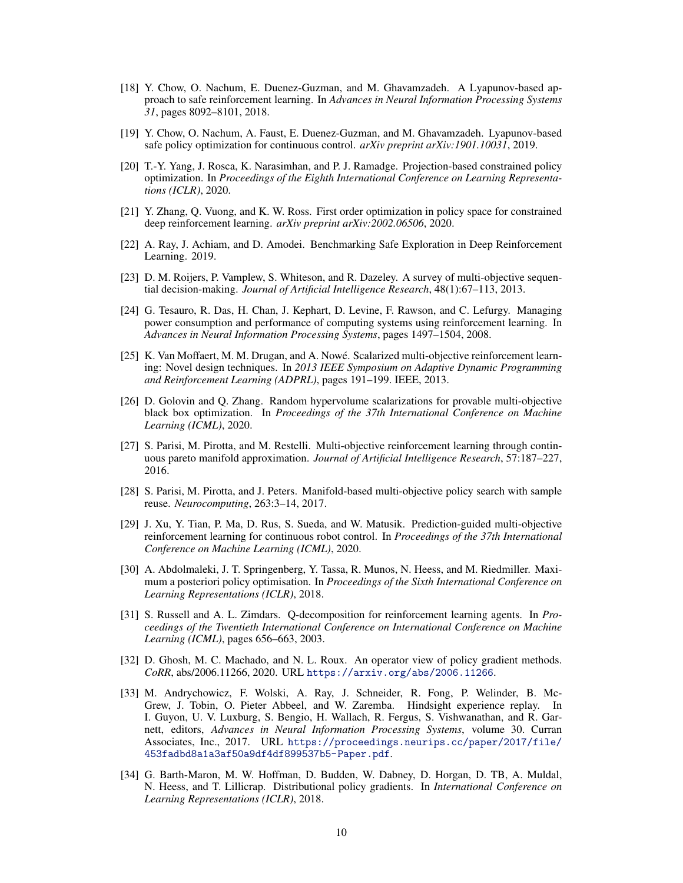- <span id="page-9-0"></span>[18] Y. Chow, O. Nachum, E. Duenez-Guzman, and M. Ghavamzadeh. A Lyapunov-based approach to safe reinforcement learning. In *Advances in Neural Information Processing Systems 31*, pages 8092–8101, 2018.
- [19] Y. Chow, O. Nachum, A. Faust, E. Duenez-Guzman, and M. Ghavamzadeh. Lyapunov-based safe policy optimization for continuous control. *arXiv preprint arXiv:1901.10031*, 2019.
- [20] T.-Y. Yang, J. Rosca, K. Narasimhan, and P. J. Ramadge. Projection-based constrained policy optimization. In *Proceedings of the Eighth International Conference on Learning Representations (ICLR)*, 2020.
- [21] Y. Zhang, Q. Vuong, and K. W. Ross. First order optimization in policy space for constrained deep reinforcement learning. *arXiv preprint arXiv:2002.06506*, 2020.
- [22] A. Ray, J. Achiam, and D. Amodei. Benchmarking Safe Exploration in Deep Reinforcement Learning. 2019.
- [23] D. M. Roijers, P. Vamplew, S. Whiteson, and R. Dazeley. A survey of multi-objective sequential decision-making. *Journal of Artificial Intelligence Research*, 48(1):67–113, 2013.
- [24] G. Tesauro, R. Das, H. Chan, J. Kephart, D. Levine, F. Rawson, and C. Lefurgy. Managing power consumption and performance of computing systems using reinforcement learning. In *Advances in Neural Information Processing Systems*, pages 1497–1504, 2008.
- [25] K. Van Moffaert, M. M. Drugan, and A. Nowe. Scalarized multi-objective reinforcement learn- ´ ing: Novel design techniques. In *2013 IEEE Symposium on Adaptive Dynamic Programming and Reinforcement Learning (ADPRL)*, pages 191–199. IEEE, 2013.
- [26] D. Golovin and Q. Zhang. Random hypervolume scalarizations for provable multi-objective black box optimization. In *Proceedings of the 37th International Conference on Machine Learning (ICML)*, 2020.
- [27] S. Parisi, M. Pirotta, and M. Restelli. Multi-objective reinforcement learning through continuous pareto manifold approximation. *Journal of Artificial Intelligence Research*, 57:187–227, 2016.
- [28] S. Parisi, M. Pirotta, and J. Peters. Manifold-based multi-objective policy search with sample reuse. *Neurocomputing*, 263:3–14, 2017.
- [29] J. Xu, Y. Tian, P. Ma, D. Rus, S. Sueda, and W. Matusik. Prediction-guided multi-objective reinforcement learning for continuous robot control. In *Proceedings of the 37th International Conference on Machine Learning (ICML)*, 2020.
- [30] A. Abdolmaleki, J. T. Springenberg, Y. Tassa, R. Munos, N. Heess, and M. Riedmiller. Maximum a posteriori policy optimisation. In *Proceedings of the Sixth International Conference on Learning Representations (ICLR)*, 2018.
- [31] S. Russell and A. L. Zimdars. Q-decomposition for reinforcement learning agents. In *Proceedings of the Twentieth International Conference on International Conference on Machine Learning (ICML)*, pages 656–663, 2003.
- [32] D. Ghosh, M. C. Machado, and N. L. Roux. An operator view of policy gradient methods. *CoRR*, abs/2006.11266, 2020. URL <https://arxiv.org/abs/2006.11266>.
- [33] M. Andrychowicz, F. Wolski, A. Ray, J. Schneider, R. Fong, P. Welinder, B. Mc-Grew, J. Tobin, O. Pieter Abbeel, and W. Zaremba. Hindsight experience replay. In I. Guyon, U. V. Luxburg, S. Bengio, H. Wallach, R. Fergus, S. Vishwanathan, and R. Garnett, editors, *Advances in Neural Information Processing Systems*, volume 30. Curran Associates, Inc., 2017. URL [https://proceedings.neurips.cc/paper/2017/file/](https://proceedings.neurips.cc/paper/2017/file/453fadbd8a1a3af50a9df4df899537b5-Paper.pdf) [453fadbd8a1a3af50a9df4df899537b5-Paper.pdf](https://proceedings.neurips.cc/paper/2017/file/453fadbd8a1a3af50a9df4df899537b5-Paper.pdf).
- [34] G. Barth-Maron, M. W. Hoffman, D. Budden, W. Dabney, D. Horgan, D. TB, A. Muldal, N. Heess, and T. Lillicrap. Distributional policy gradients. In *International Conference on Learning Representations (ICLR)*, 2018.